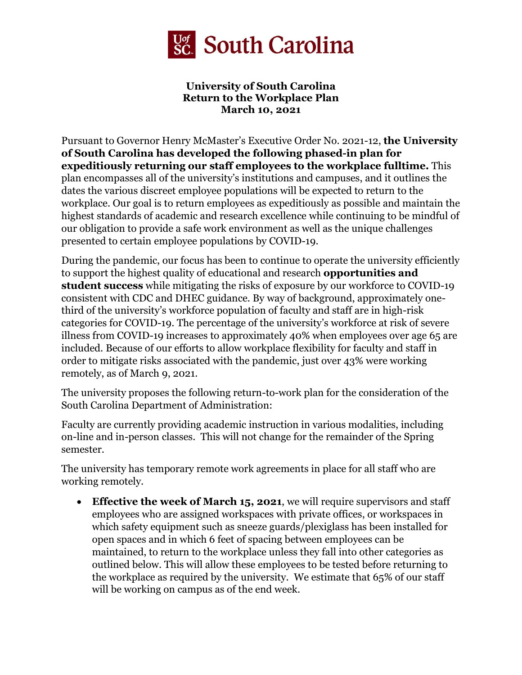

## **University of South Carolina Return to the Workplace Plan March 10, 2021**

 **of South Carolina has developed the following phased-in plan for**  Pursuant to Governor Henry McMaster's Executive Order No. 2021-12, **the University expeditiously returning our staff employees to the workplace fulltime.** This plan encompasses all of the university's institutions and campuses, and it outlines the dates the various discreet employee populations will be expected to return to the workplace. Our goal is to return employees as expeditiously as possible and maintain the highest standards of academic and research excellence while continuing to be mindful of our obligation to provide a safe work environment as well as the unique challenges presented to certain employee populations by COVID-19.

During the pandemic, our focus has been to continue to operate the university efficiently to support the highest quality of educational and research **opportunities and student success** while mitigating the risks of exposure by our workforce to COVID-19 consistent with CDC and DHEC guidance. By way of background, approximately onethird of the university's workforce population of faculty and staff are in high-risk categories for COVID-19. The percentage of the university's workforce at risk of severe illness from COVID-19 increases to approximately 40% when employees over age 65 are included. Because of our efforts to allow workplace flexibility for faculty and staff in order to mitigate risks associated with the pandemic, just over 43% were working remotely, as of March 9, 2021.

The university proposes the following return-to-work plan for the consideration of the South Carolina Department of Administration:

Faculty are currently providing academic instruction in various modalities, including on-line and in-person classes. This will not change for the remainder of the Spring semester.

 The university has temporary remote work agreements in place for all staff who are working remotely.

• **Effective the week of March 15, 2021**, we will require supervisors and staff employees who are assigned workspaces with private offices, or workspaces in which safety equipment such as sneeze guards/plexiglass has been installed for open spaces and in which 6 feet of spacing between employees can be maintained, to return to the workplace unless they fall into other categories as outlined below. This will allow these employees to be tested before returning to the workplace as required by the university. We estimate that 65% of our staff will be working on campus as of the end week.